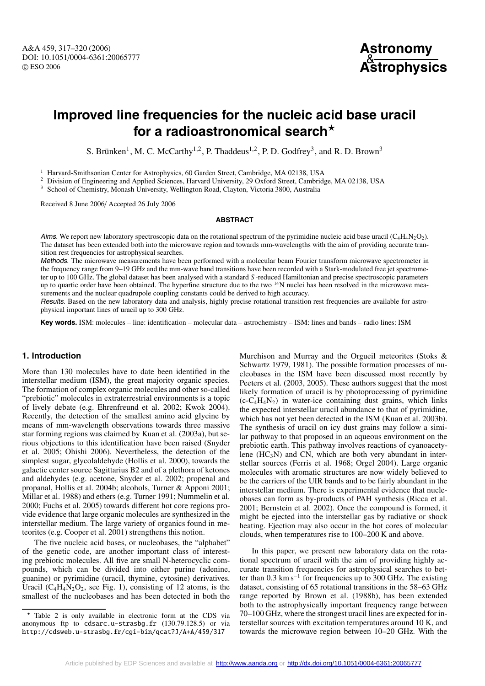# **Improved line frequencies for the nucleic acid base uracil for a radioastronomical search**

S. Brünken<sup>1</sup>, M. C. McCarthy<sup>1,2</sup>, P. Thaddeus<sup>1,2</sup>, P. D. Godfrey<sup>3</sup>, and R. D. Brown<sup>3</sup>

<sup>1</sup> Harvard-Smithsonian Center for Astrophysics, 60 Garden Street, Cambridge, MA 02138, USA

<sup>2</sup> Division of Engineering and Applied Sciences, Harvard University, 29 Oxford Street, Cambridge, MA 02138, USA  $3$  School of Chemistry, Monash University, Wellington Road, Clayton, Victoria 3800, Australia

Received 8 June 2006/ Accepted 26 July 2006

#### **ABSTRACT**

Aims. We report new laboratory spectroscopic data on the rotational spectrum of the pyrimidine nucleic acid base uracil ( $C_4H_4N_2O_2$ ). The dataset has been extended both into the microwave region and towards mm-wavelengths with the aim of providing accurate transition rest frequencies for astrophysical searches.

Methods. The microwave measurements have been performed with a molecular beam Fourier transform microwave spectrometer in the frequency range from 9–19 GHz and the mm-wave band transitions have been recorded with a Stark-modulated free jet spectrometer up to 100 GHz. The global dataset has been analysed with a standard *S* -reduced Hamiltonian and precise spectroscopic parameters up to quartic order have been obtained. The hyperfine structure due to the two  $14N$  nuclei has been resolved in the microwave measurements and the nuclear quadrupole coupling constants could be derived to high accuracy.

Results. Based on the new laboratory data and analysis, highly precise rotational transition rest frequencies are available for astrophysical important lines of uracil up to 300 GHz.

**Key words.** ISM: molecules – line: identification – molecular data – astrochemistry – ISM: lines and bands – radio lines: ISM

## **1. Introduction**

More than 130 molecules have to date been identified in the interstellar medium (ISM), the great majority organic species. The formation of complex organic molecules and other so-called "prebiotic" molecules in extraterrestrial environments is a topic of lively debate (e.g. Ehrenfreund et al. 2002; Kwok 2004). Recently, the detection of the smallest amino acid glycine by means of mm-wavelength observations towards three massive star forming regions was claimed by Kuan et al. (2003a), but serious objections to this identification have been raised (Snyder et al. 2005; Ohishi 2006). Nevertheless, the detection of the simplest sugar, glycolaldehyde (Hollis et al. 2000), towards the galactic center source Sagittarius B2 and of a plethora of ketones and aldehydes (e.g. acetone, Snyder et al. 2002; propenal and propanal, Hollis et al. 2004b; alcohols, Turner & Apponi 2001; Millar et al. 1988) and ethers (e.g. Turner 1991; Nummelin et al. 2000; Fuchs et al. 2005) towards different hot core regions provide evidence that large organic molecules are synthesized in the interstellar medium. The large variety of organics found in meteorites (e.g. Cooper et al. 2001) strengthens this notion.

The five nucleic acid bases, or nucleobases, the "alphabet" of the genetic code, are another important class of interesting prebiotic molecules. All five are small N-heterocyclic compounds, which can be divided into either purine (adenine, guanine) or pyrimidine (uracil, thymine, cytosine) derivatives. Uracil  $(C_4H_4N_2O_2$ , see Fig. 1), consisting of 12 atoms, is the smallest of the nucleobases and has been detected in both the Murchison and Murray and the Orgueil meteorites (Stoks & Schwartz 1979, 1981). The possible formation processes of nucleobases in the ISM have been discussed most recently by Peeters et al. (2003, 2005). These authors suggest that the most likely formation of uracil is by photoprocessing of pyrimidine  $(c-C_4H_4N_2)$  in water-ice containing dust grains, which links the expected interstellar uracil abundance to that of pyrimidine, which has not yet been detected in the ISM (Kuan et al. 2003b). The synthesis of uracil on icy dust grains may follow a similar pathway to that proposed in an aqueous environment on the prebiotic earth. This pathway involves reactions of cyanoacetylene  $(HC_3N)$  and CN, which are both very abundant in interstellar sources (Ferris et al. 1968; Orgel 2004). Large organic molecules with aromatic structures are now widely believed to be the carriers of the UIR bands and to be fairly abundant in the interstellar medium. There is experimental evidence that nucleobases can form as by-products of PAH synthesis (Ricca et al. 2001; Bernstein et al. 2002). Once the compound is formed, it might be ejected into the interstellar gas by radiative or shock heating. Ejection may also occur in the hot cores of molecular clouds, when temperatures rise to 100–200 K and above.

In this paper, we present new laboratory data on the rotational spectrum of uracil with the aim of providing highly accurate transition frequencies for astrophysical searches to better than  $0.3 \text{ km s}^{-1}$  for frequencies up to 300 GHz. The existing dataset, consisting of 65 rotational transitions in the 58–63 GHz range reported by Brown et al. (1988b), has been extended both to the astrophysically important frequency range between 70–100 GHz, where the strongest uracil lines are expected for interstellar sources with excitation temperatures around 10 K, and towards the microwave region between 10–20 GHz. With the

<sup>\*</sup> Table 2 is only available in electronic form at the CDS via anonymous ftp to cdsarc.u-strasbg.fr (130.79.128.5) or via http://cdsweb.u-strasbg.fr/cgi-bin/qcat?J/A+A/459/317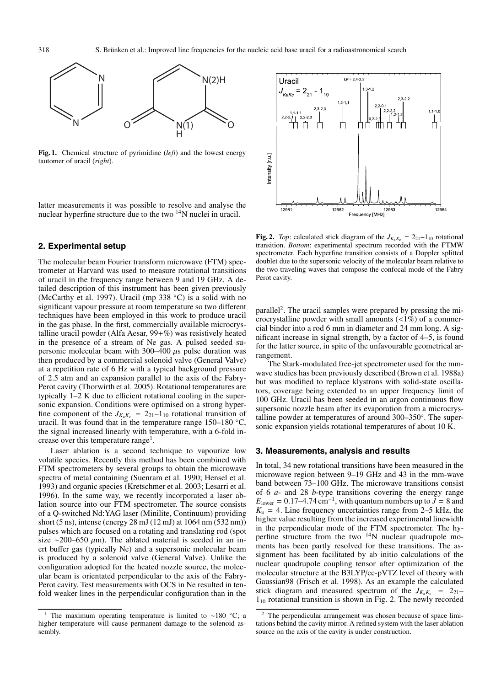

**Fig. 1.** Chemical structure of pyrimidine (*left*) and the lowest energy tautomer of uracil (*right*).

latter measurements it was possible to resolve and analyse the nuclear hyperfine structure due to the two 14N nuclei in uracil.

## **2. Experimental setup**

The molecular beam Fourier transform microwave (FTM) spectrometer at Harvard was used to measure rotational transitions of uracil in the frequency range between 9 and 19 GHz. A detailed description of this instrument has been given previously (McCarthy et al. 1997). Uracil (mp 338 ◦C) is a solid with no significant vapour pressure at room temperature so two different techniques have been employed in this work to produce uracil in the gas phase. In the first, commercially available microcrystalline uracil powder (Alfa Aesar, 99+%) was resistively heated in the presence of a stream of Ne gas. A pulsed seeded supersonic molecular beam with 300–400  $\mu$ s pulse duration was then produced by a commercial solenoid valve (General Valve) at a repetition rate of 6 Hz with a typical background pressure of 2.5 atm and an expansion parallel to the axis of the Fabry-Perot cavity (Thorwirth et al. 2005). Rotational temperatures are typically 1–2 K due to efficient rotational cooling in the supersonic expansion. Conditions were optimised on a strong hyperfine component of the  $J_{K_aK_c} = 2_{21}-1_{10}$  rotational transition of uracil. It was found that in the temperature range  $150-180$  °C, the signal increased linearly with temperature, with a 6-fold increase over this temperature range<sup>1</sup>.

Laser ablation is a second technique to vapourize low volatile species. Recently this method has been combined with FTM spectrometers by several groups to obtain the microwave spectra of metal containing (Suenram et al. 1990; Hensel et al. 1993) and organic species (Kretschmer et al. 2003; Lesarri et al. 1996). In the same way, we recently incorporated a laser ablation source into our FTM spectrometer. The source consists of a Q-switched Nd:YAG laser (Minilite, Continuum) providing short (5 ns), intense (energy 28 mJ (12 mJ) at 1064 nm (532 nm)) pulses which are focused on a rotating and translating rod (spot size ∼200–650  $\mu$ m). The ablated material is seeded in an inert buffer gas (typically Ne) and a supersonic molecular beam is produced by a solenoid valve (General Valve). Unlike the configuration adopted for the heated nozzle source, the molecular beam is orientated perpendicular to the axis of the Fabry-Perot cavity. Test measurements with OCS in Ne resulted in tenfold weaker lines in the perpendicular configuration than in the



**Fig. 2.** *Top*: calculated stick diagram of the  $J_{K_aK_c} = 2_{21}-1_{10}$  rotational transition. *Bottom*: experimental spectrum recorded with the FTMW spectrometer. Each hyperfine transition consists of a Doppler splitted doublet due to the supersonic velocity of the molecular beam relative to the two traveling waves that compose the confocal mode of the Fabry Perot cavity.

parallel<sup>2</sup>. The uracil samples were prepared by pressing the microcrystalline powder with small amounts  $\left($ <1%) of a commercial binder into a rod 6 mm in diameter and 24 mm long. A significant increase in signal strength, by a factor of 4–5, is found for the latter source, in spite of the unfavourable geometrical arrangement.

The Stark-modulated free-jet spectrometer used for the mmwave studies has been previously described (Brown et al. 1988a) but was modified to replace klystrons with solid-state oscillators, coverage being extended to an upper frequency limit of 100 GHz. Uracil has been seeded in an argon continuous flow supersonic nozzle beam after its evaporation from a microcrystalline powder at temperatures of around 300–350◦. The supersonic expansion yields rotational temperatures of about 10 K.

#### **3. Measurements, analysis and results**

In total, 34 new rotational transitions have been measured in the microwave region between 9–19 GHz and 43 in the mm-wave band between 73–100 GHz. The microwave transitions consist of 6 *a*- and 28 *b*-type transitions covering the energy range  $E_{\text{lower}} = 0.17 - 4.74 \text{ cm}^{-1}$ , with quantum numbers up to  $J = 8$  and  $K_a = 4$ . Line frequency uncertainties range from 2–5 kHz, the higher value resulting from the increased experimental linewidth in the perpendicular mode of the FTM spectrometer. The hyperfine structure from the two  $14N$  nuclear quadrupole moments has been partly resolved for these transitions. The assignment has been facilitated by ab initio calculations of the nuclear quadrupole coupling tensor after optimization of the molecular structure at the B3LYP/cc-pVTZ level of theory with Gaussian98 (Frisch et al. 1998). As an example the calculated stick diagram and measured spectrum of the  $J_{K_aK_c}$  = 2<sub>21</sub>–  $1_{10}$  rotational transition is shown in Fig. 2. The newly recorded

<sup>1</sup> The maximum operating temperature is limited to ∼180 ◦C; a higher temperature will cause permanent damage to the solenoid assembly.

The perpendicular arrangement was chosen because of space limitations behind the cavity mirror. A refined system with the laser ablation source on the axis of the cavity is under construction.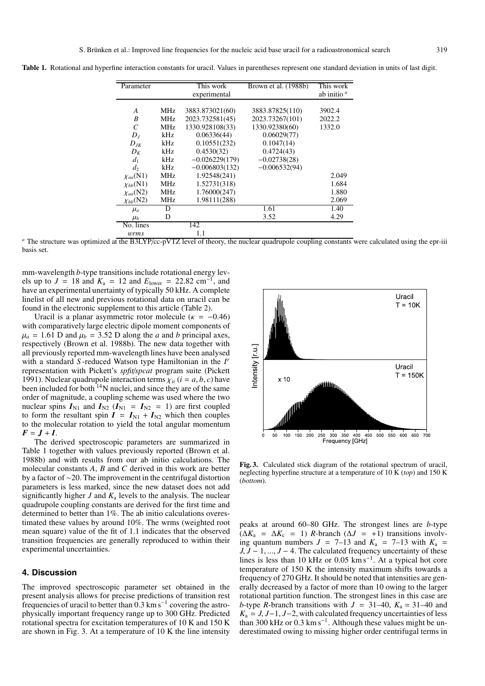| Parameter        |      | This work<br>experimental | Brown et al. (1988b) | This work<br>ab initio <sup><i>a</i></sup> |
|------------------|------|---------------------------|----------------------|--------------------------------------------|
|                  |      |                           |                      |                                            |
| A                | MHz. | 3883.873021(60)           | 3883.87825(110)      | 3902.4                                     |
| B                | MHz  | 2023.732581(45)           | 2023.73267(101)      | 2022.2                                     |
| $\mathcal{C}$    | MHz  | 1330.928108(33)           | 1330.92380(60)       | 1332.0                                     |
| $D_I$            | kHz. | 0.06336(44)               | 0.06029(77)          |                                            |
| $D_{IK}$         | kHz  | 0.10551(232)              | 0.1047(14)           |                                            |
| $D_K$            | kHz  | 0.4530(32)                | 0.4724(43)           |                                            |
| $d_1$            | kHz  | $-0.026229(179)$          | $-0.02738(28)$       |                                            |
| $d_2$            | kHz. | $-0.006803(132)$          | $-0.006532(94)$      |                                            |
| $\chi_{aa}(N1)$  | MHz  | 1.92548(241)              |                      | 2.049                                      |
| $\chi_{bb}(N1)$  | MHz  | 1.52731(318)              |                      | 1.684                                      |
| $\chi_{aa}(N2)$  | MHz  | 1.76000(247)              |                      | 1.880                                      |
| $\chi_{bb}$ (N2) | MHz  | 1.98111(288)              |                      | 2.069                                      |
| $\mu_a$          | D    |                           | 1.61                 | 1.40                                       |
| $\mu_b$          | D    |                           | 3.52                 | 4.29                                       |
| No. lines        |      | 142                       |                      |                                            |
| <i>wrms</i>      |      | 1.1                       |                      |                                            |

**Table 1.** Rotational and hyperfine interaction constants for uracil. Values in parentheses represent one standard deviation in units of last digit.

*<sup>a</sup>* The structure was optimized at the B3LYP/cc-pVTZ level of theory, the nuclear quadrupole coupling constants were calculated using the epr-iii basis set.

mm-wavelength *b*-type transitions include rotational energy levels up to  $J = 18$  and  $K_a = 12$  and  $E_{lower} = 22.82$  cm<sup>-1</sup>, and have an experimental unertainty of typically 50 kHz. A complete linelist of all new and previous rotational data on uracil can be found in the electronic supplement to this article (Table 2).

Uracil is a planar asymmetric rotor molecule ( $\kappa = -0.46$ ) with comparatively large electric dipole moment components of  $\mu_a = 1.61$  D and  $\mu_b = 3.52$  D along the *a* and *b* principal axes, respectively (Brown et al. 1988b). The new data together with all previously reported mm-wavelength lines have been analysed with a standard *S* -reduced Watson type Hamiltonian in the *I<sup>r</sup>* representation with Pickett's *spfit*/*spcat* program suite (Pickett 1991). Nuclear quadrupole interaction terms  $\chi_{ii}$  ( $i = a, b, c$ ) have been included for both  $14$ N nuclei, and since they are of the same order of magnitude, a coupling scheme was used where the two nuclear spins  $I_{N1}$  and  $I_{N2}$  ( $I_{N1} = I_{N2} = 1$ ) are first coupled to form the resultant spin  $I = I_{N1} + I_{N2}$  which then couples to the molecular rotation to yield the total angular momentum  $F = J + I$ .

The derived spectroscopic parameters are summarized in Table 1 together with values previously reported (Brown et al. 1988b) and with results from our ab initio calculations. The molecular constants *A*, *B* and *C* derived in this work are better by a factor of ∼20. The improvement in the centrifugal distortion parameters is less marked, since the new dataset does not add significantly higher *J* and  $K_a$  levels to the analysis. The nuclear quadrupole coupling constants are derived for the first time and determined to better than 1%. The ab initio calculations overestimated these values by around 10%. The wrms (weighted root mean square) value of the fit of 1.1 indicates that the observed transition frequencies are generally reproduced to within their experimental uncertainties.

## **4. Discussion**

The improved spectroscopic parameter set obtained in the present analysis allows for precise predictions of transition rest frequencies of uracil to better than  $0.3 \text{ km s}^{-1}$  covering the astrophysically important frequency range up to 300 GHz. Predicted rotational spectra for excitation temperatures of 10 K and 150 K are shown in Fig. 3. At a temperature of 10 K the line intensity



**Fig. 3.** Calculated stick diagram of the rotational spectrum of uracil, neglecting hyperfine structure at a temperature of 10 K (*top*) and 150 K (*bottom*).

peaks at around 60–80 GHz. The strongest lines are *b*-type  $(\Delta K_a = \Delta K_c = 1)$  *R*-branch ( $\Delta J = +1$ ) transitions involving quantum numbers  $J = 7{\text -}13$  and  $K_a = 7{\text -}13$  with  $K_a =$ *J*, *J* − 1, ..., *J* − 4. The calculated frequency uncertainty of these lines is less than 10 kHz or 0.05 km s<sup>-1</sup>. At a typical hot core temperature of 150 K the intensity maximum shifts towards a frequency of 270 GHz. It should be noted that intensities are generally decreased by a factor of more than 10 owing to the larger rotational partition function. The strongest lines in this case are *b*-type *R*-branch transitions with  $J = 31-40$ ,  $K_a = 31-40$  and  $K_a = J, J-1, J-2$ , with calculated frequency uncertainties of less than 300 kHz or 0.3 km s−1. Although these values might be underestimated owing to missing higher order centrifugal terms in